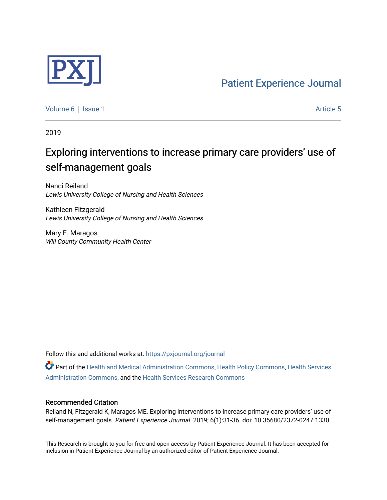

[Volume 6](https://pxjournal.org/journal/vol6) | [Issue 1](https://pxjournal.org/journal/vol6/iss1) Article 5

2019

# Exploring interventions to increase primary care providers' use of self-management goals

Nanci Reiland Lewis University College of Nursing and Health Sciences

Kathleen Fitzgerald Lewis University College of Nursing and Health Sciences

Mary E. Maragos Will County Community Health Center

Follow this and additional works at: [https://pxjournal.org/journal](https://pxjournal.org/journal?utm_source=pxjournal.org%2Fjournal%2Fvol6%2Fiss1%2F5&utm_medium=PDF&utm_campaign=PDFCoverPages) 

Part of the [Health and Medical Administration Commons](http://network.bepress.com/hgg/discipline/663?utm_source=pxjournal.org%2Fjournal%2Fvol6%2Fiss1%2F5&utm_medium=PDF&utm_campaign=PDFCoverPages), [Health Policy Commons,](http://network.bepress.com/hgg/discipline/395?utm_source=pxjournal.org%2Fjournal%2Fvol6%2Fiss1%2F5&utm_medium=PDF&utm_campaign=PDFCoverPages) [Health Services](http://network.bepress.com/hgg/discipline/747?utm_source=pxjournal.org%2Fjournal%2Fvol6%2Fiss1%2F5&utm_medium=PDF&utm_campaign=PDFCoverPages) [Administration Commons,](http://network.bepress.com/hgg/discipline/747?utm_source=pxjournal.org%2Fjournal%2Fvol6%2Fiss1%2F5&utm_medium=PDF&utm_campaign=PDFCoverPages) and the [Health Services Research Commons](http://network.bepress.com/hgg/discipline/816?utm_source=pxjournal.org%2Fjournal%2Fvol6%2Fiss1%2F5&utm_medium=PDF&utm_campaign=PDFCoverPages) 

#### Recommended Citation

Reiland N, Fitzgerald K, Maragos ME. Exploring interventions to increase primary care providers' use of self-management goals. Patient Experience Journal. 2019; 6(1):31-36. doi: 10.35680/2372-0247.1330.

This Research is brought to you for free and open access by Patient Experience Journal. It has been accepted for inclusion in Patient Experience Journal by an authorized editor of Patient Experience Journal.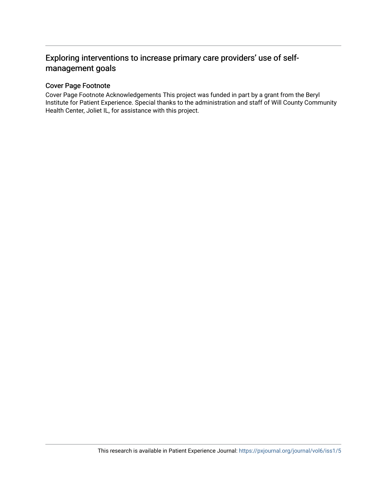## Exploring interventions to increase primary care providers' use of selfmanagement goals

### Cover Page Footnote

Cover Page Footnote Acknowledgements This project was funded in part by a grant from the Beryl Institute for Patient Experience. Special thanks to the administration and staff of Will County Community Health Center, Joliet IL, for assistance with this project.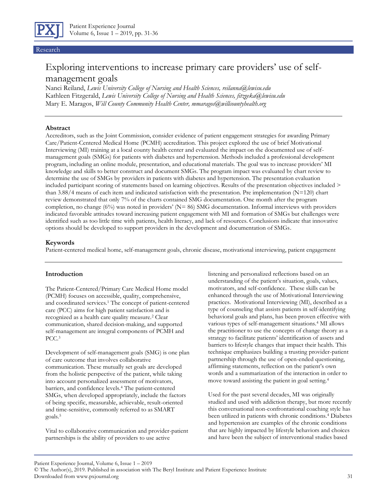

Research

# Exploring interventions to increase primary care providers' use of selfmanagement goals

Nanci Reiland, *Lewis University College of Nursing and Health Sciences, reilanna@lewisu.edu* Kathleen Fitzgerald, *Lewis University College of Nursing and Health Sciences, fitzgeka@lewisu.edu* Mary E. Maragos, *Will County Community Health Center, mmaragos@willcountyhealth.org* 

#### **Abstract**

Accreditors, such as the Joint Commission, consider evidence of patient engagement strategies for awarding Primary Care/Patient-Centered Medical Home (PCMH) accreditation. This project explored the use of brief Motivational Interviewing (MI) training at a local county health center and evaluated the impact on the documented use of selfmanagement goals (SMGs) for patients with diabetes and hypertension. Methods included a professional development program, including an online module, presentation, and educational materials. The goal was to increase providers' MI knowledge and skills to better construct and document SMGs. The program impact was evaluated by chart review to determine the use of SMGs by providers in patients with diabetes and hypertension. The presentation evaluation included participant scoring of statements based on learning objectives. Results of the presentation objectives included > than 3.88/4 means of each item and indicated satisfaction with the presentation. Pre implementation  $(N=120)$  chart review demonstrated that only 7% of the charts contained SMG documentation. One month after the program completion, no change (6%) was noted in providers' (N= 86) SMG documentation. Informal interviews with providers indicated favorable attitudes toward increasing patient engagement with MI and formation of SMGs but challenges were identified such as too little time with patients, health literacy, and lack of resources. Conclusions indicate that innovative options should be developed to support providers in the development and documentation of SMGs.

#### **Keywords**

Patient-centered medical home, self-management goals, chronic disease, motivational interviewing, patient engagement

#### **Introduction**

The Patient-Centered/Primary Care Medical Home model (PCMH) focuses on accessible, quality, comprehensive, and coordinated services.<sup>1</sup> The concept of patient-centered care (PCC) aims for high patient satisfaction and is recognized as a health care quality measure.<sup>2</sup> Clear communication, shared decision-making, and supported self-management are integral components of PCMH and PCC.<sup>3</sup>

Development of self-management goals (SMG) is one plan of care outcome that involves collaborative communication. These mutually set goals are developed from the holistic perspective of the patient, while taking into account personalized assessment of motivators, barriers, and confidence levels.<sup>4</sup> The patient-centered SMGs, when developed appropriately, include the factors of being specific, measurable, achievable, result-oriented and time-sensitive, commonly referred to as SMART goals.<sup>5</sup>

Vital to collaborative communication and provider-patient partnerships is the ability of providers to use active

listening and personalized reflections based on an understanding of the patient's situation, goals, values, motivators, and self-confidence. These skills can be enhanced through the use of Motivational Interviewing practices. Motivational Interviewing (MI), described as a type of counseling that assists patients in self-identifying behavioral goals and plans, has been proven effective with various types of self-management situations.<sup>4</sup> MI allows the practitioner to use the concepts of change theory as a strategy to facilitate patients' identification of assets and barriers to lifestyle changes that impact their health. This technique emphasizes building a trusting provider-patient partnership through the use of open-ended questioning, affirming statements, reflection on the patient's own words and a summarization of the interaction in order to move toward assisting the patient in goal setting.<sup>4</sup>

Used for the past several decades, MI was originally studied and used with addiction therapy, but more recently this conversational non-confrontational coaching style has been utilized in patients with chronic conditions.<sup>4</sup> Diabetes and hypertension are examples of the chronic conditions that are highly impacted by lifestyle behaviors and choices and have been the subject of interventional studies based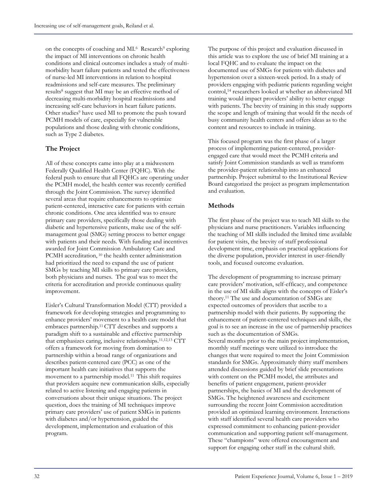on the concepts of coaching and MI.<sup>6</sup> Research<sup>9</sup> exploring the impact of MI interventions on chronic health conditions and clinical outcomes includes a study of multimorbidity heart failure patients and tested the effectiveness of nurse-led MI interventions in relation to hospital readmissions and self-care measures. The preliminary results<sup>8</sup> suggest that MI may be an effective method of decreasing multi-morbidity hospital readmissions and increasing self-care behaviors in heart failure patients. Other studies<sup>9</sup> have used MI to promote the push toward PCMH models of care, especially for vulnerable populations and those dealing with chronic conditions, such as Type 2 diabetes.

#### **The Project**

All of these concepts came into play at a midwestern Federally Qualified Health Center (FQHC). With the federal push to ensure that all FQHCs are operating under the PCMH model, the health center was recently certified through the Joint Commission. The survey identified several areas that require enhancements to optimize patient-centered, interactive care for patients with certain chronic conditions. One area identified was to ensure primary care providers, specifically those dealing with diabetic and hypertensive patients, make use of the selfmanagement goal (SMG) setting process to better engage with patients and their needs. With funding and incentives awarded for Joint Commission Ambulatory Care and PCMH accreditation, <sup>10</sup> the health center administration had prioritized the need to expand the use of patient SMGs by teaching MI skills to primary care providers, both physicians and nurses. The goal was to meet the criteria for accreditation and provide continuous quality improvement.

Eisler's Cultural Transformation Model (CTT) provided a framework for developing strategies and programming to enhance providers' movement to a health care model that embraces partnership.11 CTT describes and supports a paradigm shift to a sustainable and effective partnership that emphasizes caring, inclusive relationships.11,12,13 CTT offers a framework for moving from domination to partnership within a broad range of organizations and describes patient-centered care (PCC) as one of the important health care initiatives that supports the movement to a partnership model.11 This shift requires that providers acquire new communication skills, especially related to active listening and engaging patients in conversations about their unique situations. The project question, does the training of MI techniques improve primary care providers' use of patient SMGs in patients with diabetes and/or hypertension, guided the development, implementation and evaluation of this program.

The purpose of this project and evaluation discussed in this article was to explore the use of brief MI training at a local FQHC and to evaluate the impact on the documented use of SMGs for patients with diabetes and hypertension over a sixteen-week period. In a study of providers engaging with pediatric patients regarding weight control,<sup>14</sup> researchers looked at whether an abbreviated MI training would impact providers' ability to better engage with patients. The brevity of training in this study supports the scope and length of training that would fit the needs of busy community health centers and offers ideas as to the content and resources to include in training.

This focused program was the first phase of a larger process of implementing patient-centered, providerengaged care that would meet the PCMH criteria and satisfy Joint Commission standards as well as transform the provider-patient relationship into an enhanced partnership. Project submittal to the Institutional Review Board categorized the project as program implementation and evaluation.

#### **Methods**

The first phase of the project was to teach MI skills to the physicians and nurse practitioners. Variables influencing the teaching of MI skills included the limited time available for patient visits, the brevity of staff professional development time, emphasis on practical applications for the diverse population, provider interest in user-friendly tools, and focused outcome evaluation.

The development of programming to increase primary care providers' motivation, self-efficacy, and competence in the use of MI skills aligns with the concepts of Eisler's theory.<sup>11</sup> The use and documentation of SMGs are expected outcomes of providers that ascribe to a partnership model with their patients. By supporting the enhancement of patient-centered techniques and skills, the goal is to see an increase in the use of partnership practices such as the documentation of SMGs. Several months prior to the main project implementation, monthly staff meetings were utilized to introduce the changes that were required to meet the Joint Commission standards for SMGs. Approximately thirty staff members attended discussions guided by brief slide presentations with content on the PCMH model, the attributes and benefits of patient engagement, patient-provider partnerships, the basics of MI and the development of SMGs. The heightened awareness and excitement surrounding the recent Joint Commission accreditation provided an optimized learning environment. Interactions with staff identified several health care providers who expressed commitment to enhancing patient-provider communication and supporting patient self-management. These "champions" were offered encouragement and support for engaging other staff in the cultural shift.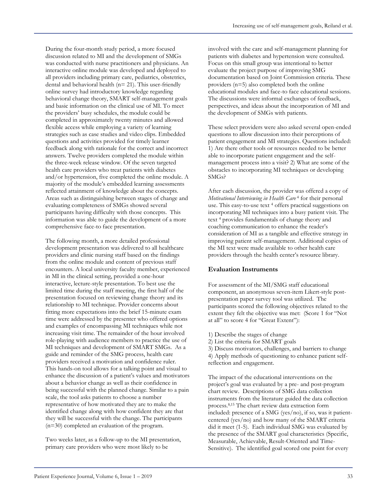During the four-month study period, a more focused discussion related to MI and the development of SMGs was conducted with nurse practitioners and physicians. An interactive online module was developed and deployed to all providers including primary care, pediatrics, obstetrics, dental and behavioral health ( $n=21$ ). This user-friendly online survey had introductory knowledge regarding behavioral change theory, SMART self-management goals and basic information on the clinical use of MI. To meet the providers' busy schedules, the module could be completed in approximately twenty minutes and allowed flexible access while employing a variety of learning strategies such as case studies and video clips. Embedded questions and activities provided for timely learner feedback along with rationale for the correct and incorrect answers. Twelve providers completed the module within the three-week release window. Of the seven targeted health care providers who treat patients with diabetes and/or hypertension, five completed the online module. A majority of the module's embedded learning assessments reflected attainment of knowledge about the concepts. Areas such as distinguishing between stages of change and evaluating completeness of SMGs showed several participants having difficulty with those concepts. This information was able to guide the development of a more comprehensive face-to face presentation.

The following month, a more detailed professional development presentation was delivered to all healthcare providers and clinic nursing staff based on the findings from the online module and content of previous staff encounters. A local university faculty member, experienced in MI in the clinical setting, provided a one-hour interactive, lecture-style presentation. To best use the limited time during the staff meeting, the first half of the presentation focused on reviewing change theory and its relationship to MI technique. Provider concerns about fitting more expectations into the brief 15-minute exam time were addressed by the presenter who offered options and examples of encompassing MI techniques while not increasing visit time. The remainder of the hour involved role-playing with audience members to practice the use of MI techniques and development of SMART SMGs. As a guide and reminder of the SMG process, health care providers received a motivation and confidence ruler. This hands-on tool allows for a talking point and visual to enhance the discussion of a patient's values and motivators about a behavior change as well as their confidence in being successful with the planned change. Similar to a pain scale, the tool asks patients to choose a number representative of how motivated they are to make the identified change along with how confident they are that they will be successful with the change. The participants (n=30) completed an evaluation of the program.

Two weeks later, as a follow-up to the MI presentation, primary care providers who were most likely to be

involved with the care and self-management planning for patients with diabetes and hypertension were consulted. Focus on this small group was intentional to better evaluate the project purpose of improving SMG documentation based on Joint Commission criteria. These providers (n=5) also completed both the online educational modules and face-to face educational sessions. The discussions were informal exchanges of feedback, perspectives, and ideas about the incorporation of MI and the development of SMGs with patients.

These select providers were also asked several open-ended questions to allow discussion into their perceptions of patient engagement and MI strategies. Questions included: 1) Are there other tools or resources needed to be better able to incorporate patient engagement and the selfmanagement process into a visit? 2) What are some of the obstacles to incorporating MI techniques or developing SMGs?

After each discussion, the provider was offered a copy of *Motivational Interviewing in Health Care* <sup>4</sup> for their personal use. This easy-to-use text <sup>4</sup> offers practical suggestions on incorporating MI techniques into a busy patient visit. The text <sup>4</sup> provides fundamentals of change theory and coaching communication to enhance the reader's consideration of MI as a tangible and effective strategy in improving patient self-management. Additional copies of the MI text were made available to other health care providers through the health center's resource library.

### **Evaluation Instruments**

For assessment of the MI/SMG staff educational component, an anonymous seven-item Likert-style postpresentation paper survey tool was utilized. The participants scored the following objectives related to the extent they felt the objective was met: (Score 1 for "Not at all" to score 4 for "Great Extent"):

- 1) Describe the stages of change
- 2) List the criteria for SMART goals

3) Discuss motivators, challenges, and barriers to change 4) Apply methods of questioning to enhance patient selfreflection and engagement.

The impact of the educational interventions on the project's goal was evaluated by a pre- and post-program chart review. Descriptions of SMG data collection instruments from the literature guided the data collection process.8,15 The chart review data extraction form included: presence of a SMG (yes/no), if so, was it patientcentered (yes/no) and how many of the SMART criteria did it meet (1-5). Each individual SMG was evaluated by the presence of the SMART goal characteristics (Specific, Measurable, Achievable, Result-Oriented and Time-Sensitive). The identified goal scored one point for every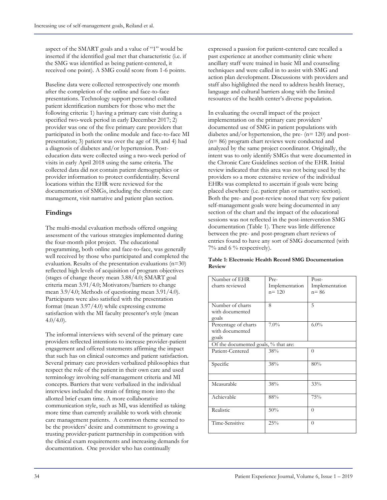aspect of the SMART goals and a value of "1" would be inserted if the identified goal met that characteristic (i.e. if the SMG was identified as being patient-centered, it received one point). A SMG could score from 1-6 points.

Baseline data were collected retrospectively one month after the completion of the online and face-to-face presentations. Technology support personnel collated patient identification numbers for those who met the following criteria: 1) having a primary care visit during a specified two-week period in early December 2017; 2) provider was one of the five primary care providers that participated in both the online module and face-to-face MI presentation; 3) patient was over the age of 18, and 4) had a diagnosis of diabetes and/or hypertension. Posteducation data were collected using a two-week period of visits in early April 2018 using the same criteria. The collected data did not contain patient demographics or provider information to protect confidentiality. Several locations within the EHR were reviewed for the documentation of SMGs, including the chronic care management, visit narrative and patient plan section.

#### **Findings**

The multi-modal evaluation methods offered ongoing assessment of the various strategies implemented during the four-month pilot project. The educational programming, both online and face-to-face, was generally well received by those who participated and completed the evaluation. Results of the presentation evaluations  $(n=30)$ reflected high levels of acquisition of program objectives (stages of change theory mean 3.88/4.0; SMART goal criteria mean 3.91/4.0; Motivators/barriers to change mean 3.9/4.0; Methods of questioning mean 3.91/4.0). Participants were also satisfied with the presentation format (mean 3.97/4.0) while expressing extreme satisfaction with the MI faculty presenter's style (mean  $4.0/4.0$ ).

The informal interviews with several of the primary care providers reflected intentions to increase provider-patient engagement and offered statements affirming the impact that such has on clinical outcomes and patient satisfaction. Several primary care providers verbalized philosophies that respect the role of the patient in their own care and used terminology involving self-management criteria and MI concepts. Barriers that were verbalized in the individual interviews included the strain of fitting more into the allotted brief exam time. A more collaborative communication style, such as MI, was identified as taking more time than currently available to work with chronic care management patients. A common theme seemed to be the providers' desire and commitment to growing a trusting provider-patient partnership in competition with the clinical exam requirements and increasing demands for documentation. One provider who has continually

expressed a passion for patient-centered care recalled a past experience at another community clinic where ancillary staff were trained in basic MI and counseling techniques and were called in to assist with SMG and action plan development. Discussions with providers and staff also highlighted the need to address health literacy, language and cultural barriers along with the limited resources of the health center's diverse population.

In evaluating the overall impact of the project implementation on the primary care providers' documented use of SMG in patient populations with diabetes and/or hypertension, the pre- (n= 120) and post- (n= 86) program chart reviews were conducted and analyzed by the same project coordinator. Originally, the intent was to only identify SMGs that were documented in the Chronic Care Guidelines section of the EHR. Initial review indicated that this area was not being used by the providers so a more extensive review of the individual EHRs was completed to ascertain if goals were being placed elsewhere (i.e. patient plan or narrative section). Both the pre- and post-review noted that very few patient self-management goals were being documented in any section of the chart and the impact of the educational sessions was not reflected in the post-intervention SMG documentation (Table 1). There was little difference between the pre- and post-program chart reviews of entries found to have any sort of SMG documented (with 7% and 6 % respectively).

#### **Table 1: Electronic Health Record SMG Documentation Review**

| Number of EHR                        | Pre-           | Post-          |
|--------------------------------------|----------------|----------------|
| charts reviewed                      | Implementation | Implementation |
|                                      | $n = 120$      | $n = 86$       |
|                                      |                |                |
| Number of charts                     | 8              | 5              |
| with documented                      |                |                |
| goals                                |                |                |
| Percentage of charts                 | $7.0\%$        | $6.0\%$        |
| with documented                      |                |                |
| goals                                |                |                |
| Of the documented goals, % that are: |                |                |
| Patient-Centered                     | 38%            | $\Omega$       |
|                                      |                |                |
| Specific                             | 38%            | 80%            |
|                                      |                |                |
|                                      |                |                |
| Measurable                           | 38%            | 33%            |
|                                      |                |                |
| Achievable                           | 88%            | 75%            |
|                                      |                |                |
| Realistic                            | 50%            | $\theta$       |
|                                      |                |                |
| Time-Sensitive                       | 25%            | $\theta$       |
|                                      |                |                |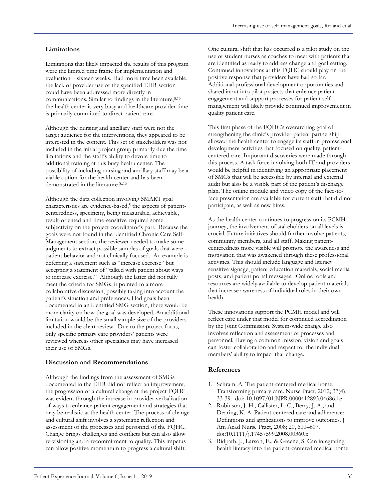#### **Limitations**

Limitations that likely impacted the results of this program were the limited time frame for implementation and evaluation—sixteen weeks. Had more time been available, the lack of provider use of the specified EHR section could have been addressed more directly in communications. Similar to findings in the literature,  $8,15$ the health center is very busy and healthcare provider time is primarily committed to direct patient care.

Although the nursing and ancillary staff were not the target audience for the interventions, they appeared to be interested in the content. This set of stakeholders was not included in the initial project group primarily due the time limitations and the staff's ability to devote time to additional training at this busy health center. The possibility of including nursing and ancillary staff may be a viable option for the health center and has been demonstrated in the literature. 8,,15

Although the data collection involving SMART goal characteristics are evidence-based,<sup>5</sup> the aspects of patientcenteredness, specificity, being measurable, achievable, result-oriented and time-sensitive required some subjectivity on the project coordinator's part. Because the goals were not found in the identified Chronic Care Self-Management section, the reviewer needed to make some judgments to extract possible samples of goals that were patient behavior and not clinically focused. An example is deferring a statement such as "increase exercise" but accepting a statement of "talked with patient about ways to increase exercise." Although the latter did not fully meet the criteria for SMGs, it pointed to a more collaborative discussion, possibly taking into account the patient's situation and preferences. Had goals been documented in an identified SMG section, there would be more clarity on how the goal was developed. An additional limitation would be the small sample size of the providers included in the chart review. Due to the project focus, only specific primary care providers' patients were reviewed whereas other specialties may have increased their use of SMGs.

#### **Discussion and Recommendations**

Although the findings from the assessment of SMGs documented in the EHR did not reflect an improvement, the progression of a cultural change at the project FQHC was evident through the increase in provider verbalization of ways to enhance patient engagement and strategies that may be realistic at the health center. The process of change and cultural shift involves a systematic reflection and assessment of the processes and personnel of the FQHC. Change brings challenges and conflicts but can also allow re-visioning and a recommitment to quality. This impetus can allow positive momentum to progress a cultural shift.

One cultural shift that has occurred is a pilot study on the use of student nurses as coaches to meet with patients that are identified as ready to address change and goal setting. Continued innovations at this FQHC should play on the positive response that providers have had so far. Additional professional development opportunities and shared input into pilot projects that enhance patient engagement and support processes for patient selfmanagement will likely provide continued improvement in quality patient care.

This first phase of the FQHC's overarching goal of strengthening the clinic's provider-patient partnership allowed the health center to engage its staff in professional development activities that focused on quality, patientcentered care. Important discoveries were made through this process. A task force involving both IT and providers would be helpful in identifying an appropriate placement of SMGs that will be accessible by internal and external audit but also be a visible part of the patient's discharge plan. The online module and video copy of the face-toface presentation are available for current staff that did not participate, as well as new hires.

As the health center continues to progress on its PCMH journey, the involvement of stakeholders on all levels is crucial. Future initiatives should further involve patients, community members, and all staff. Making patientcenteredness more visible will promote the awareness and motivation that was awakened through these professional activities. This should include language and literacy sensitive signage, patient education materials, social media posts, and patient portal messages. Online tools and resources are widely available to develop patient materials that increase awareness of individual roles in their own health.

These innovations support the PCMH model and will reflect care under that model for continued accreditation by the Joint Commission. System-wide change also involves reflection and assessment of processes and personnel. Having a common mission, vision and goals can foster collaboration and respect for the individual members' ability to impact that change.

#### **References**

- 1. Schram, A. The patient-centered medical home: Transforming primary care. Nurse Pract, 2012; 37(4), 33-39. doi: 10.1097/01.NPR.0000412893.04686.1e
- 2. Robinson, J. H., Callister, L. C., Berry, J. A., and Dearing, K. A. Patient-centered care and adherence: Definitions and applications to improve outcomes. J Am Acad Nurse Pract, 2008; 20, 600–607. doi:10.1111/j.17457599.2008.00360.x
- 3. Ridpath, J., Larson, E., & Greene, S. Can integrating health literacy into the patient-centered medical home